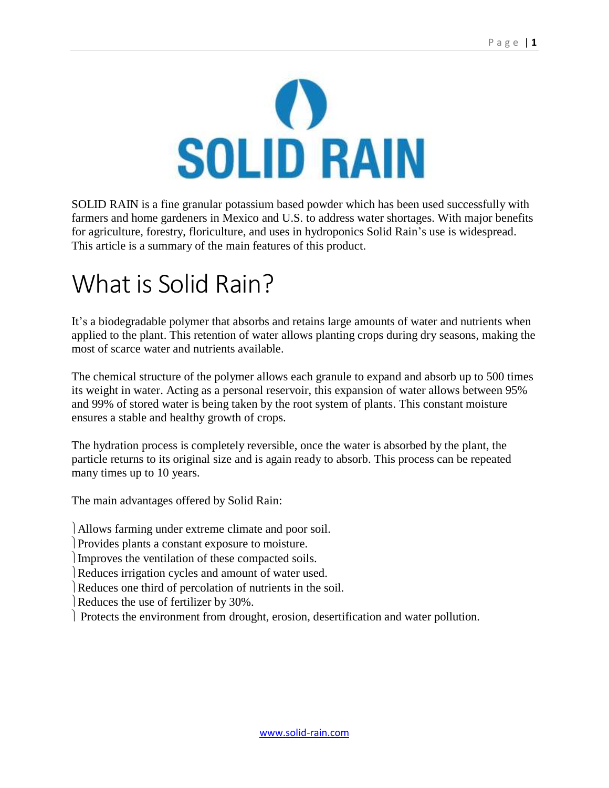

SOLID RAIN is a fine granular potassium based powder which has been used successfully with farmers and home gardeners in Mexico and U.S. to address water shortages. With major benefits for agriculture, forestry, floriculture, and uses in hydroponics Solid Rain's use is widespread. This article is a summary of the main features of this product.

## What is Solid Rain?

It's a biodegradable polymer that absorbs and retains large amounts of water and nutrients when applied to the plant. This retention of water allows planting crops during dry seasons, making the most of scarce water and nutrients available.

The chemical structure of the polymer allows each granule to expand and absorb up to 500 times its weight in water. Acting as a personal reservoir, this expansion of water allows between 95% and 99% of stored water is being taken by the root system of plants. This constant moisture ensures a stable and healthy growth of crops.

The hydration process is completely reversible, once the water is absorbed by the plant, the particle returns to its original size and is again ready to absorb. This process can be repeated many times up to 10 years.

The main advantages offered by Solid Rain:

Allows farming under extreme climate and poor soil.

Provides plants a constant exposure to moisture.

Improves the ventilation of these compacted soils.

Reduces irrigation cycles and amount of water used.

Reduces one third of percolation of nutrients in the soil.

Reduces the use of fertilizer by 30%.

Protects the environment from drought, erosion, desertification and water pollution.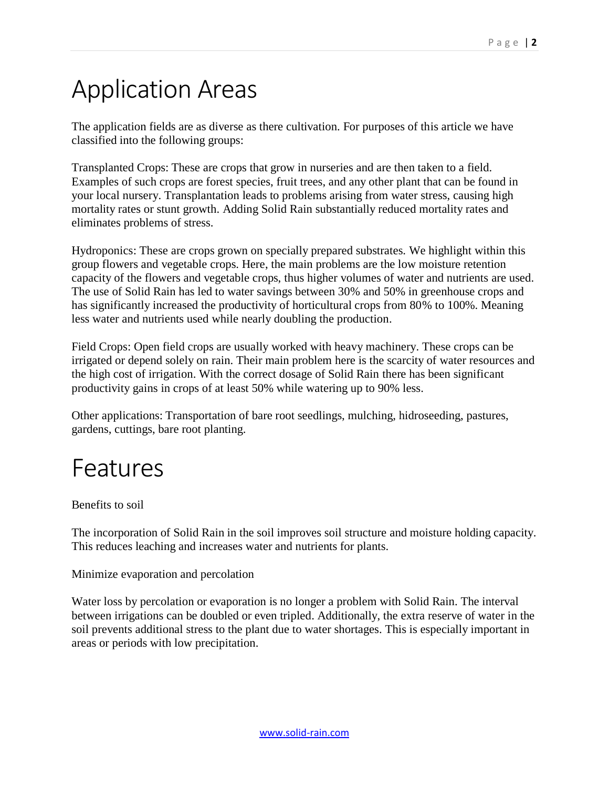# Application Areas

The application fields are as diverse as there cultivation. For purposes of this article we have classified into the following groups:

Transplanted Crops: These are crops that grow in nurseries and are then taken to a field. Examples of such crops are forest species, fruit trees, and any other plant that can be found in your local nursery. Transplantation leads to problems arising from water stress, causing high mortality rates or stunt growth. Adding Solid Rain substantially reduced mortality rates and eliminates problems of stress.

Hydroponics: These are crops grown on specially prepared substrates. We highlight within this group flowers and vegetable crops. Here, the main problems are the low moisture retention capacity of the flowers and vegetable crops, thus higher volumes of water and nutrients are used. The use of Solid Rain has led to water savings between 30% and 50% in greenhouse crops and has significantly increased the productivity of horticultural crops from 80% to 100%. Meaning less water and nutrients used while nearly doubling the production.

Field Crops: Open field crops are usually worked with heavy machinery. These crops can be irrigated or depend solely on rain. Their main problem here is the scarcity of water resources and the high cost of irrigation. With the correct dosage of Solid Rain there has been significant productivity gains in crops of at least 50% while watering up to 90% less.

Other applications: Transportation of bare root seedlings, mulching, hidroseeding, pastures, gardens, cuttings, bare root planting.

### Features

Benefits to soil

The incorporation of Solid Rain in the soil improves soil structure and moisture holding capacity. This reduces leaching and increases water and nutrients for plants.

Minimize evaporation and percolation

Water loss by percolation or evaporation is no longer a problem with Solid Rain. The interval between irrigations can be doubled or even tripled. Additionally, the extra reserve of water in the soil prevents additional stress to the plant due to water shortages. This is especially important in areas or periods with low precipitation.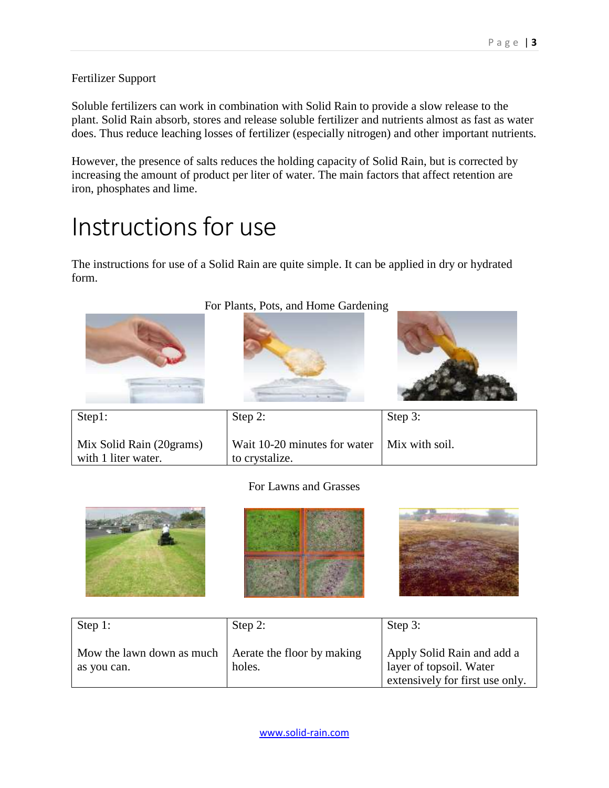Fertilizer Support

Soluble fertilizers can work in combination with Solid Rain to provide a slow release to the plant. Solid Rain absorb, stores and release soluble fertilizer and nutrients almost as fast as water does. Thus reduce leaching losses of fertilizer (especially nitrogen) and other important nutrients.

However, the presence of salts reduces the holding capacity of Solid Rain, but is corrected by increasing the amount of product per liter of water. The main factors that affect retention are iron, phosphates and lime.

# Instructions for use

The instructions for use of a Solid Rain are quite simple. It can be applied in dry or hydrated form.



#### For Lawns and Grasses







| Step 1:                                  | Step 2:                              | Step 3:                                                                                  |
|------------------------------------------|--------------------------------------|------------------------------------------------------------------------------------------|
| Mow the lawn down as much<br>as you can. | Aerate the floor by making<br>holes. | Apply Solid Rain and add a<br>layer of topsoil. Water<br>extensively for first use only. |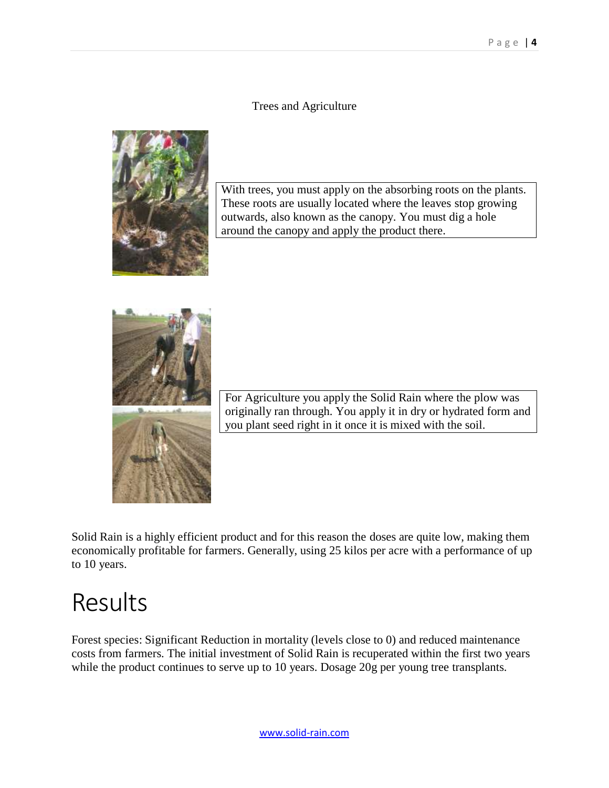#### Trees and Agriculture



With trees, you must apply on the absorbing roots on the plants. These roots are usually located where the leaves stop growing outwards, also known as the canopy. You must dig a hole around the canopy and apply the product there.



For Agriculture you apply the Solid Rain where the plow was originally ran through. You apply it in dry or hydrated form and you plant seed right in it once it is mixed with the soil.

Solid Rain is a highly efficient product and for this reason the doses are quite low, making them economically profitable for farmers. Generally, using 25 kilos per acre with a performance of up to 10 years.

### Results

Forest species: Significant Reduction in mortality (levels close to 0) and reduced maintenance costs from farmers. The initial investment of Solid Rain is recuperated within the first two years while the product continues to serve up to 10 years. Dosage 20g per young tree transplants.